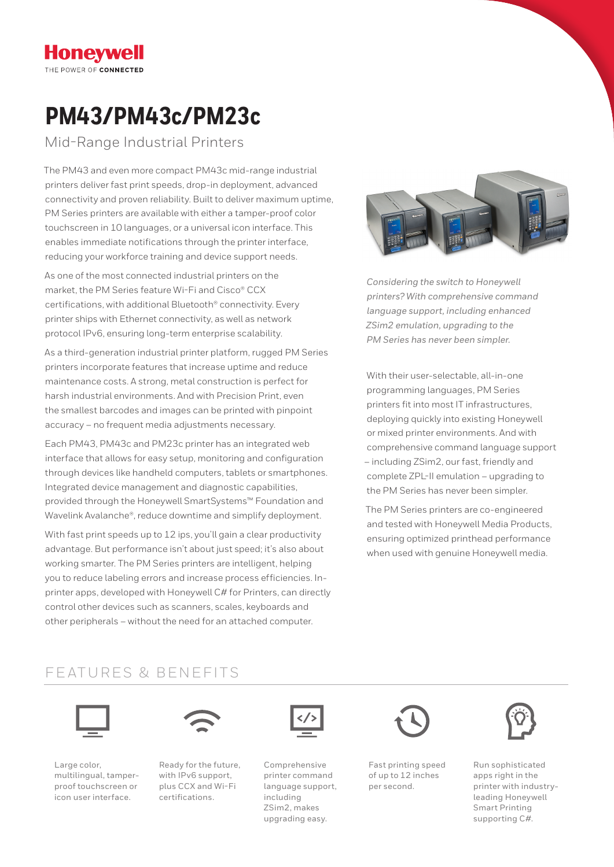## **Honevwell** THE POWER OF CONNECTED

# **PM43/PM43c/PM23c**

Mid-Range Industrial Printers

The PM43 and even more compact PM43c mid-range industrial printers deliver fast print speeds, drop-in deployment, advanced connectivity and proven reliability. Built to deliver maximum uptime, PM Series printers are available with either a tamper-proof color touchscreen in 10 languages, or a universal icon interface. This enables immediate notifications through the printer interface, reducing your workforce training and device support needs.

As one of the most connected industrial printers on the market, the PM Series feature Wi-Fi and Cisco® CCX certifications, with additional Bluetooth® connectivity. Every printer ships with Ethernet connectivity, as well as network protocol IPv6, ensuring long-term enterprise scalability.

As a third-generation industrial printer platform, rugged PM Series printers incorporate features that increase uptime and reduce maintenance costs. A strong, metal construction is perfect for harsh industrial environments. And with Precision Print, even the smallest barcodes and images can be printed with pinpoint accuracy – no frequent media adjustments necessary.

Each PM43, PM43c and PM23c printer has an integrated web interface that allows for easy setup, monitoring and configuration through devices like handheld computers, tablets or smartphones. Integrated device management and diagnostic capabilities, provided through the Honeywell SmartSystems™ Foundation and Wavelink Avalanche®, reduce downtime and simplify deployment.

With fast print speeds up to 12 ips, you'll gain a clear productivity advantage. But performance isn't about just speed; it's also about working smarter. The PM Series printers are intelligent, helping you to reduce labeling errors and increase process efficiencies. Inprinter apps, developed with Honeywell C# for Printers, can directly control other devices such as scanners, scales, keyboards and other peripherals – without the need for an attached computer.



*Considering the switch to Honeywell printers? With comprehensive command language support, including enhanced ZSim2 emulation, upgrading to the PM Series has never been simpler.*

With their user-selectable, all-in-one programming languages, PM Series printers fit into most IT infrastructures, deploying quickly into existing Honeywell or mixed printer environments. And with comprehensive command language support – including ZSim2, our fast, friendly and complete ZPL-II emulation – upgrading to the PM Series has never been simpler.

The PM Series printers are co-engineered and tested with Honeywell Media Products, ensuring optimized printhead performance when used with genuine Honeywell media.

# FEATURES & BENEFITS



Large color, multilingual, tamperproof touchscreen or icon user interface.



Ready for the future, with IPv6 support, plus CCX and Wi-Fi certifications.



Comprehensive printer command language support, including ZSim2, makes upgrading easy.



Fast printing speed of up to 12 inches per second.



Run sophisticated apps right in the printer with industryleading Honeywell Smart Printing supporting C#.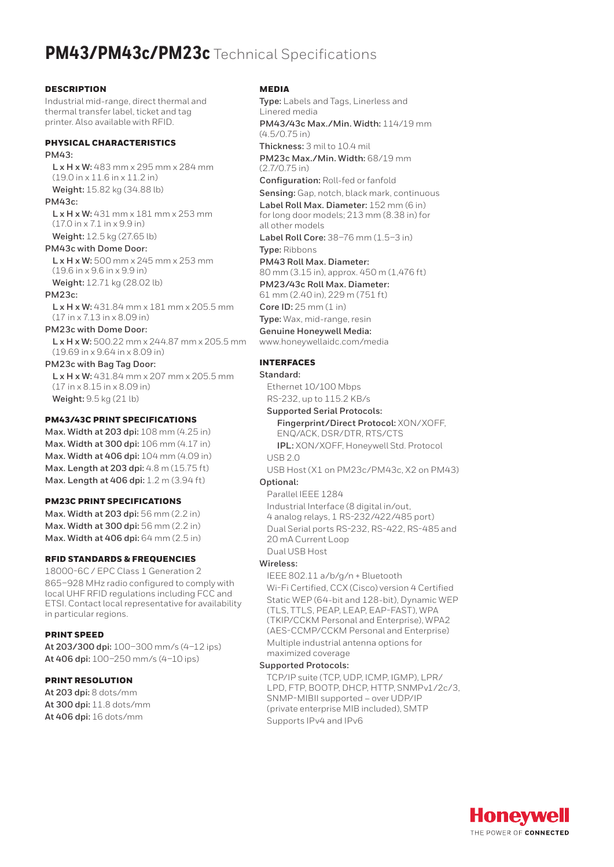# **PM43/PM43c/PM23c** Technical Specifications

#### **DESCRIPTION**

Industrial mid-range, direct thermal and thermal transfer label, ticket and tag printer. Also available with RFID.

### PHYSICAL CHARACTERISTICS

**PM43:**

**L x H x W:** 483 mm x 295 mm x 284 mm (19.0 in x 11.6 in x 11.2 in) **Weight:** 15.82 kg (34.88 lb)

**PM43c:**

**L x H x W:** 431 mm x 181 mm x 253 mm (17.0 in x 7.1 in x 9.9 in) **Weight:** 12.5 kg (27.65 lb)

**PM43c with Dome Door: L x H x W:** 500 mm x 245 mm x 253 mm (19.6 in x 9.6 in x 9.9 in)

**Weight:** 12.71 kg (28.02 lb)

**PM23c:**

**L x H x W:** 431.84 mm x 181 mm x 205.5 mm (17 in x 7.13 in x 8.09 in)

**PM23c with Dome Door:**

**L x H x W:** 500.22 mm x 244.87 mm x 205.5 mm (19.69 in x 9.64 in x 8.09 in)

**PM23c with Bag Tag Door: L x H x W:** 431.84 mm x 207 mm x 205.5 mm (17 in x 8.15 in x 8.09 in) **Weight:** 9.5 kg (21 lb)

#### PM43/43C PRINT SPECIFICATIONS

**Max. Width at 203 dpi:** 108 mm (4.25 in) **Max. Width at 300 dpi:** 106 mm (4.17 in) **Max. Width at 406 dpi:** 104 mm (4.09 in) **Max. Length at 203 dpi:** 4.8 m (15.75 ft) **Max. Length at 406 dpi:** 1.2 m (3.94 ft)

#### PM23C PRINT SPECIFICATIONS

**Max. Width at 203 dpi:** 56 mm (2.2 in) **Max. Width at 300 dpi:** 56 mm (2.2 in) **Max. Width at 406 dpi:** 64 mm (2.5 in)

#### RFID STANDARDS & FREQUENCIES

18000-6C / EPC Class 1 Generation 2 865–928 MHz radio configured to comply with local UHF RFID regulations including FCC and ETSI. Contact local representative for availability in particular regions.

#### PRINT SPEED

**At 203/300 dpi:** 100–300 mm/s (4–12 ips) **At 406 dpi:** 100–250 mm/s (4–10 ips)

#### PRINT RESOLUTION

**At 203 dpi:** 8 dots/mm **At 300 dpi:** 11.8 dots/mm **At 406 dpi:** 16 dots/mm

#### MEDIA

**Type:** Labels and Tags, Linerless and Linered media **PM43/43c Max./Min. Width:** 114/19 mm (4.5/0.75 in) **Thickness:** 3 mil to 10.4 mil **PM23c Max./Min. Width:** 68/19 mm (2.7/0.75 in) **Configuration:** Roll-fed or fanfold **Sensing:** Gap, notch, black mark, continuous **Label Roll Max. Diameter:** 152 mm (6 in) for long door models; 213 mm (8.38 in) for all other models **Label Roll Core:** 38–76 mm (1.5–3 in) **Type:** Ribbons **PM43 Roll Max. Diameter:** 80 mm (3.15 in), approx. 450 m (1,476 ft)

**PM23/43c Roll Max. Diameter:** 61 mm (2.40 in), 229 m (751 ft)

**Core ID:** 25 mm (1 in)

**Type:** Wax, mid-range, resin **Genuine Honeywell Media:**

[www.honeywellaidc.com/media](http://www.honeywellaidc.com)

#### INTERFACES

#### **Standard:**

Ethernet 10/100 Mbps RS-232, up to 115.2 KB/s

#### **Supported Serial Protocols:**

#### **Fingerprint/Direct Protocol:** XON/XOFF, ENQ/ACK, DSR/DTR, RTS/CTS

**IPL:** XON/XOFF, Honeywell Std. Protocol  $USB20$ 

USB Host (X1 on PM23c/PM43c, X2 on PM43) **Optional:**

#### Parallel IEEE 1284

Industrial Interface (8 digital in/out, 4 analog relays, 1 RS-232/422/485 port) Dual Serial ports RS-232, RS-422, RS-485 and 20 mA Current Loop Dual USB Host

#### **Wireless:**

IEEE 802.11 a/b/g/n + Bluetooth Wi-Fi Certified, CCX (Cisco) version 4 Certified Static WEP (64-bit and 128-bit), Dynamic WEP (TLS, TTLS, PEAP, LEAP, EAP-FAST), WPA (TKIP/CCKM Personal and Enterprise), WPA2 (AES-CCMP/CCKM Personal and Enterprise) Multiple industrial antenna options for maximized coverage

#### **Supported Protocols:**

TCP/IP suite (TCP, UDP, ICMP, IGMP), LPR/ LPD, FTP, BOOTP, DHCP, HTTP, SNMPv1/2c/3, SNMP-MIBII supported – over UDP/IP (private enterprise MIB included), SMTP Supports IPv4 and IPv6